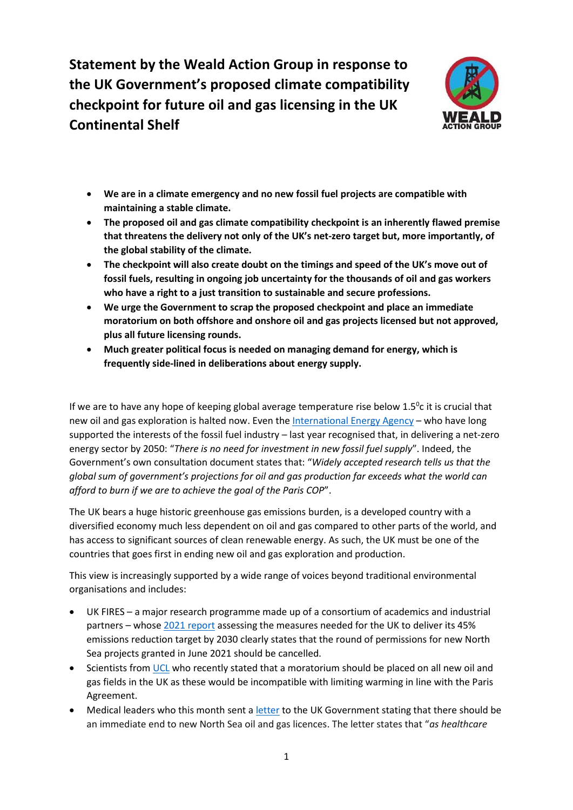**Statement by the Weald Action Group in response to the UK Government's proposed climate compatibility checkpoint for future oil and gas licensing in the UK Continental Shelf**



- **We are in a climate emergency and no new fossil fuel projects are compatible with maintaining a stable climate.**
- **The proposed oil and gas climate compatibility checkpoint is an inherently flawed premise that threatens the delivery not only of the UK's net-zero target but, more importantly, of the global stability of the climate.**
- **The checkpoint will also create doubt on the timings and speed of the UK's move out of fossil fuels, resulting in ongoing job uncertainty for the thousands of oil and gas workers who have a right to a just transition to sustainable and secure professions.**
- **We urge the Government to scrap the proposed checkpoint and place an immediate moratorium on both offshore and onshore oil and gas projects licensed but not approved, plus all future licensing rounds.**
- **Much greater political focus is needed on managing demand for energy, which is frequently side-lined in deliberations about energy supply.**

If we are to have any hope of keeping global average temperature rise below  $1.5^{\circ}$ c it is crucial that new oil and gas exploration is halted now. Even th[e International Energy Agency](https://www.iea.org/reports/net-zero-by-2050) – who have long supported the interests of the fossil fuel industry – last year recognised that, in delivering a net-zero energy sector by 2050: "*There is no need for investment in new fossil fuel supply*". Indeed, the Government's own consultation document states that: "*Widely accepted research tells us that the global sum of government's projections for oil and gas production far exceeds what the world can afford to burn if we are to achieve the goal of the Paris COP*".

The UK bears a huge historic greenhouse gas emissions burden, is a developed country with a diversified economy much less dependent on oil and gas compared to other parts of the world, and has access to significant sources of clean renewable energy. As such, the UK must be one of the countries that goes first in ending new oil and gas exploration and production.

This view is increasingly supported by a wide range of voices beyond traditional environmental organisations and includes:

- UK FIRES a major research programme made up of a consortium of academics and industrial partners – whose 2021 [report](https://ukfires.org/minus-45/) assessing the measures needed for the UK to deliver its 45% emissions reduction target by 2030 clearly states that the round of permissions for new North Sea projects granted in June 2021 should be cancelled.
- Scientists fro[m UCL](https://www.theguardian.com/environment/2022/feb/15/new-north-sea-oil-gas-licences-incompatible-uk-climate-goals) who recently stated that a moratorium should be placed on all new oil and gas fields in the UK as these would be incompatible with limiting warming in line with the Paris Agreement.
- Medical leaders who this month sent a [letter](https://www.stopcambo.org.uk/updates/health-letter-full) to the UK Government stating that there should be an immediate end to new North Sea oil and gas licences. The letter states that "*as healthcare*